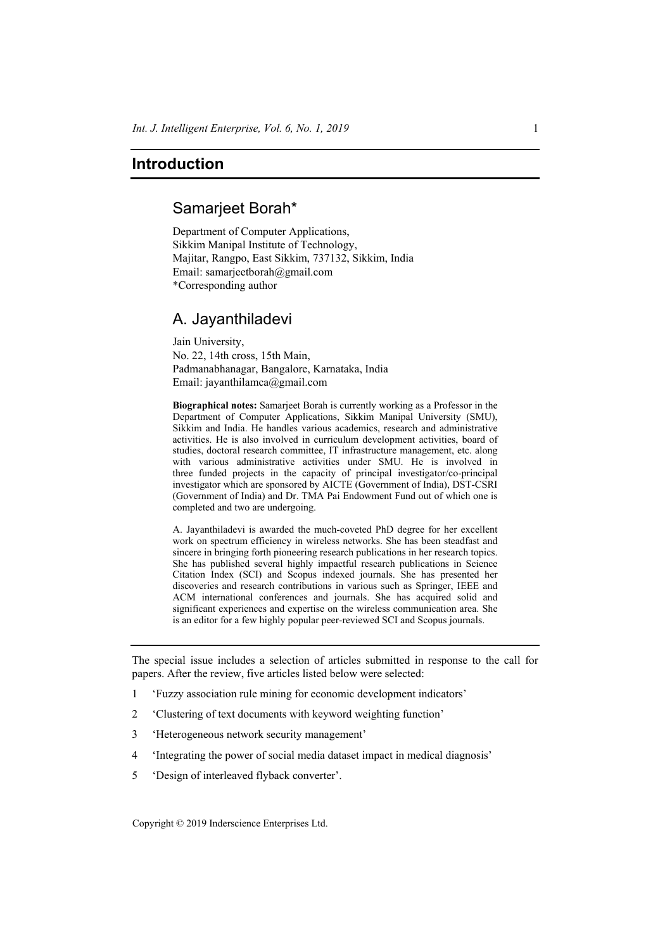## **Introduction**

## Samarjeet Borah\*

Department of Computer Applications, Sikkim Manipal Institute of Technology, Majitar, Rangpo, East Sikkim, 737132, Sikkim, India Email: samarjeetborah@gmail.com \*Corresponding author

## A. Jayanthiladevi

Jain University, No. 22, 14th cross, 15th Main, Padmanabhanagar, Bangalore, Karnataka, India Email: jayanthilamca@gmail.com

**Biographical notes:** Samarjeet Borah is currently working as a Professor in the Department of Computer Applications, Sikkim Manipal University (SMU), Sikkim and India. He handles various academics, research and administrative activities. He is also involved in curriculum development activities, board of studies, doctoral research committee, IT infrastructure management, etc. along with various administrative activities under SMU. He is involved in three funded projects in the capacity of principal investigator/co-principal investigator which are sponsored by AICTE (Government of India), DST-CSRI (Government of India) and Dr. TMA Pai Endowment Fund out of which one is completed and two are undergoing.

A. Jayanthiladevi is awarded the much-coveted PhD degree for her excellent work on spectrum efficiency in wireless networks. She has been steadfast and sincere in bringing forth pioneering research publications in her research topics. She has published several highly impactful research publications in Science Citation Index (SCI) and Scopus indexed journals. She has presented her discoveries and research contributions in various such as Springer, IEEE and ACM international conferences and journals. She has acquired solid and significant experiences and expertise on the wireless communication area. She is an editor for a few highly popular peer-reviewed SCI and Scopus journals.

The special issue includes a selection of articles submitted in response to the call for papers. After the review, five articles listed below were selected:

- 1 'Fuzzy association rule mining for economic development indicators'
- 2 'Clustering of text documents with keyword weighting function'
- 3 'Heterogeneous network security management'
- 4 'Integrating the power of social media dataset impact in medical diagnosis'
- 5 'Design of interleaved flyback converter'.

Copyright © 2019 Inderscience Enterprises Ltd.